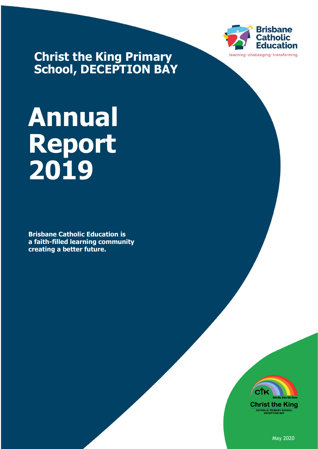

**Christ the King Primary School, DECEPTION BAY**

# **Annual Report 2019**

**Brisbane Catholic Education is a faith-filled learning community creating a better future.**



May 2020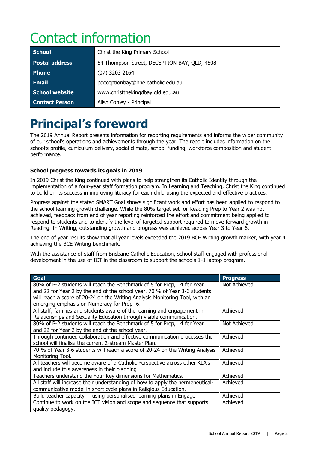# Contact information

| <b>School</b>         | Christ the King Primary School               |  |
|-----------------------|----------------------------------------------|--|
| Postal address        | 54 Thompson Street, DECEPTION BAY, QLD, 4508 |  |
| <b>Phone</b>          | $(07)$ 3203 2164                             |  |
| <b>Email</b>          | pdeceptionbay@bne.catholic.edu.au            |  |
| School website        | www.christthekingdbay.qld.edu.au             |  |
| <b>Contact Person</b> | Alish Conley - Principal                     |  |

# **Principal's foreword**

The 2019 Annual Report presents information for reporting requirements and informs the wider community of our school's operations and achievements through the year. The report includes information on the school's profile, curriculum delivery, social climate, school funding, workforce composition and student performance.

### **School progress towards its goals in 2019**

In 2019 Christ the King continued with plans to help strengthen its Catholic Identity through the implementation of a four-year staff formation program. In Learning and Teaching, Christ the King continued to build on its success in improving literacy for each child using the expected and effective practices.

Progress against the stated SMART Goal shows significant work and effort has been applied to respond to the school learning growth challenge. While the 80% target set for Reading Prep to Year 2 was not achieved, feedback from end of year reporting reinforced the effort and commitment being applied to respond to students and to identify the level of targeted support required to move forward growth in Reading. In Writing, outstanding growth and progress was achieved across Year 3 to Year 6.

The end of year results show that all year levels exceeded the 2019 BCE Writing growth marker, with year 4 achieving the BCE Writing benchmark.

With the assistance of staff from Brisbane Catholic Education, school staff engaged with professional development in the use of ICT in the classroom to support the schools 1-1 laptop program.

| Goal                                                                                                                                                                                                                                                                                  | <b>Progress</b> |
|---------------------------------------------------------------------------------------------------------------------------------------------------------------------------------------------------------------------------------------------------------------------------------------|-----------------|
| 80% of P-2 students will reach the Benchmark of 5 for Prep, 14 for Year 1<br>and 22 for Year 2 by the end of the school year. 70 % of Year 3-6 students<br>will reach a score of 20-24 on the Writing Analysis Monitoring Tool, with an<br>emerging emphasis on Numeracy for Prep -6. | Not Achieved    |
| All staff, families and students aware of the learning and engagement in<br>Relationships and Sexuality Education through visible communication.                                                                                                                                      | Achieved        |
| 80% of P-2 students will reach the Benchmark of 5 for Prep, 14 for Year 1<br>and 22 for Year 2 by the end of the school year.                                                                                                                                                         | Not Achieved    |
| Through continued collaboration and effective communication processes the<br>school will finalise the current 2-stream Master Plan.                                                                                                                                                   | Achieved        |
| 70 % of Year 3-6 students will reach a score of 20-24 on the Writing Analysis<br>Monitoring Tool.                                                                                                                                                                                     | Achieved        |
| All teachers will become aware of a Catholic Perspective across other KLA's<br>and include this awareness in their planning                                                                                                                                                           | Achieved        |
| Teachers understand the Four Key dimensions for Mathematics.                                                                                                                                                                                                                          | Achieved        |
| All staff will increase their understanding of how to apply the hermeneutical-<br>communicative model in short cycle plans in Religious Education.                                                                                                                                    | Achieved        |
| Build teacher capacity in using personalised learning plans in Engage                                                                                                                                                                                                                 | Achieved        |
| Continue to work on the ICT vision and scope and sequence that supports<br>quality pedagogy.                                                                                                                                                                                          | Achieved        |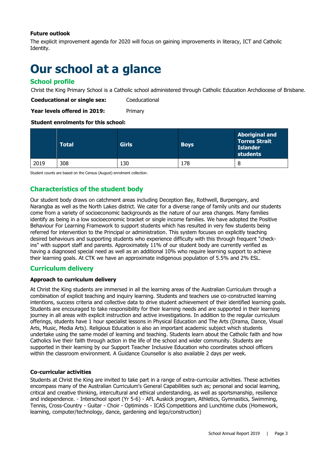#### **Future outlook**

The explicit improvement agenda for 2020 will focus on gaining improvements in literacy, ICT and Catholic Identity.

# **Our school at a glance**

### **School profile**

Christ the King Primary School is a Catholic school administered through Catholic Education Archdiocese of Brisbane.

**Coeducational or single sex:** Coeducational

**Year levels offered in 2019:** Primary

#### **Student enrolments for this school:**

|      | <b>Total</b> | <b>Girls</b> | <b>Boys</b> | <b>Aboriginal and</b><br><b>Torres Strait</b><br><b>Islander</b><br>students |
|------|--------------|--------------|-------------|------------------------------------------------------------------------------|
| 2019 | 308          | 130          | 178         | 8                                                                            |

Student counts are based on the Census (August) enrolment collection.

# **Characteristics of the student body**

Our student body draws on catchment areas including Deception Bay, Rothwell, Burpengary, and Narangba as well as the North Lakes district. We cater for a diverse range of family units and our students come from a variety of socioeconomic backgrounds as the nature of our area changes. Many families identify as being in a low socioeconomic bracket or single income families. We have adopted the Positive Behaviour For Learning Framework to support students which has resulted in very few students being referred for intervention to the Principal or administration. This system focuses on explicitly teaching desired behaviours and supporting students who experience difficulty with this through frequent "checkins" with support staff and parents. Approximately 11% of our student body are currently verified as having a diagnosed special need as well as an additional 10% who require learning support to achieve their learning goals. At CTK we have an approximate indigenous population of 5.5% and 2% ESL.

### **Curriculum delivery**

#### **Approach to curriculum delivery**

At Christ the King students are immersed in all the learning areas of the Australian Curriculum through a combination of explicit teaching and inquiry learning. Students and teachers use co-constructed learning intentions, success criteria and collective data to drive student achievement of their identified learning goals. Students are encouraged to take responsibility for their learning needs and are supported in their learning journey in all areas with explicit instruction and active investigations. In addition to the regular curriculum offerings, students have 1 hour specialist lessons in Physical Education and The Arts (Drama, Dance, Visual Arts, Music, Media Arts). Religious Education is also an important academic subject which students undertake using the same model of learning and teaching. Students learn about the Catholic faith and how Catholics live their faith through action in the life of the school and wider community. Students are supported in their learning by our Support Teacher Inclusive Education who coordinates school officers within the classroom environment. A Guidance Counsellor is also available 2 days per week.

#### **Co-curricular activities**

Students at Christ the King are invited to take part in a range of extra-curricular activities. These activities encompass many of the Australian Curriculum's General Capabilities such as; personal and social learning, critical and creative thinking, intercultural and ethical understanding, as well as sportsmanship, resilience and independence. - Interschool sport (Yr 5-6) - AFL Auskick program, Athletics, Gymnastics, Swimming, Tennis, Cross-Country - Guitar - Choir - Optiminds - ICAS Competitions and Lunchtime clubs (Homework, learning, computer/technology, dance, gardening and lego/construction)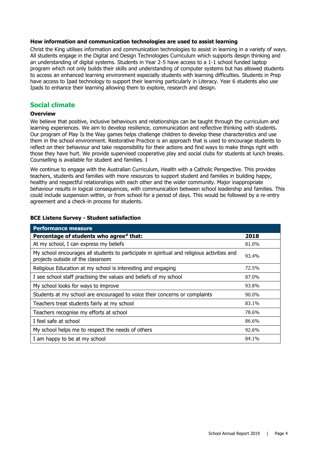#### **How information and communication technologies are used to assist learning**

Christ the King utilises information and communication technologies to assist in learning in a variety of ways. All students engage in the Digital and Design Technologies Curriculum which supports design thinking and an understanding of digital systems. Students in Year 2-5 have access to a 1-1 school funded laptop program which not only builds their skills and understanding of computer systems but has allowed students to access an enhanced learning environment especially students with learning difficulties. Students in Prep have access to Ipad technology to support their learning particularly in Literacy. Year 6 students also use Ipads to enhance their learning allowing them to explore, research and design.

#### **Social climate**

#### **Overview**

We believe that positive, inclusive behaviours and relationships can be taught through the curriculum and learning experiences. We aim to develop resilience, communication and reflective thinking with students. Our program of Play Is the Way games helps challenge children to develop these characteristics and use them in the school environment. Restorative Practice is an approach that is used to encourage students to reflect on their behaviour and take responsibility for their actions and find ways to make things right with those they have hurt. We provide supervised cooperative play and social clubs for students at lunch breaks. Counselling is available for student and families. I

We continue to engage with the Australian Curriculum, Health with a Catholic Perspective. This provides teachers, students and families with more resources to support student and families in building happy, healthy and respectful relationships with each other and the wider community. Major inappropriate behaviour results in logical consequences, with communication between school leadership and families. This could include suspension within, or from school for a period of days. This would be followed by a re-entry agreement and a check-in process for students.

| <b>Performance measure</b>                                                                                                      |       |
|---------------------------------------------------------------------------------------------------------------------------------|-------|
| Percentage of students who agree# that:                                                                                         | 2018  |
| At my school, I can express my beliefs                                                                                          | 81.0% |
| My school encourages all students to participate in spiritual and religious activities and<br>projects outside of the classroom | 93.4% |
| Religious Education at my school is interesting and engaging                                                                    | 72.5% |
| I see school staff practising the values and beliefs of my school                                                               | 87.0% |
| My school looks for ways to improve                                                                                             | 93.8% |
| Students at my school are encouraged to voice their concerns or complaints                                                      | 90.0% |
| Teachers treat students fairly at my school                                                                                     | 83.1% |
| Teachers recognise my efforts at school                                                                                         | 78.6% |
| I feel safe at school                                                                                                           | 86.6% |
| My school helps me to respect the needs of others                                                                               | 92.6% |
| I am happy to be at my school                                                                                                   | 84.1% |

#### **BCE Listens Survey - Student satisfaction**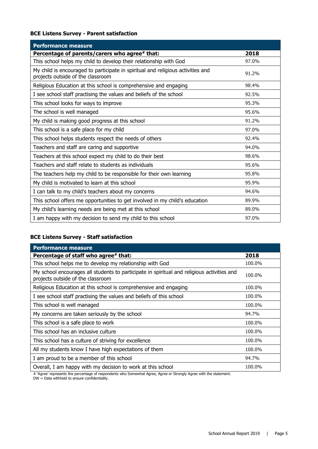#### **BCE Listens Survey - Parent satisfaction**

| <b>Performance measure</b>                                                                                           |       |
|----------------------------------------------------------------------------------------------------------------------|-------|
| Percentage of parents/carers who agree# that:                                                                        | 2018  |
| This school helps my child to develop their relationship with God                                                    | 97.0% |
| My child is encouraged to participate in spiritual and religious activities and<br>projects outside of the classroom | 91.2% |
| Religious Education at this school is comprehensive and engaging                                                     | 98.4% |
| I see school staff practising the values and beliefs of the school                                                   | 92.5% |
| This school looks for ways to improve                                                                                | 95.3% |
| The school is well managed                                                                                           | 95.6% |
| My child is making good progress at this school                                                                      | 91.2% |
| This school is a safe place for my child                                                                             | 97.0% |
| This school helps students respect the needs of others                                                               | 92.4% |
| Teachers and staff are caring and supportive                                                                         | 94.0% |
| Teachers at this school expect my child to do their best                                                             | 98.6% |
| Teachers and staff relate to students as individuals                                                                 | 95.6% |
| The teachers help my child to be responsible for their own learning                                                  | 95.8% |
| My child is motivated to learn at this school                                                                        | 95.9% |
| I can talk to my child's teachers about my concerns                                                                  | 94.6% |
| This school offers me opportunities to get involved in my child's education                                          | 89.9% |
| My child's learning needs are being met at this school                                                               | 89.0% |
| I am happy with my decision to send my child to this school                                                          | 97.0% |

#### **BCE Listens Survey - Staff satisfaction**

| <b>Performance measure</b>                                                                                                      |        |
|---------------------------------------------------------------------------------------------------------------------------------|--------|
| Percentage of staff who agree# that:                                                                                            | 2018   |
| This school helps me to develop my relationship with God                                                                        | 100.0% |
| My school encourages all students to participate in spiritual and religious activities and<br>projects outside of the classroom | 100.0% |
| Religious Education at this school is comprehensive and engaging                                                                | 100.0% |
| I see school staff practising the values and beliefs of this school                                                             | 100.0% |
| This school is well managed                                                                                                     | 100.0% |
| My concerns are taken seriously by the school                                                                                   | 94.7%  |
| This school is a safe place to work                                                                                             | 100.0% |
| This school has an inclusive culture                                                                                            | 100.0% |
| This school has a culture of striving for excellence                                                                            | 100.0% |
| All my students know I have high expectations of them                                                                           | 100.0% |
| I am proud to be a member of this school                                                                                        | 94.7%  |
| Overall, I am happy with my decision to work at this school                                                                     | 100.0% |

# 'Agree' represents the percentage of respondents who Somewhat Agree, Agree or Strongly Agree with the statement.

DW = Data withheld to ensure confidentiality.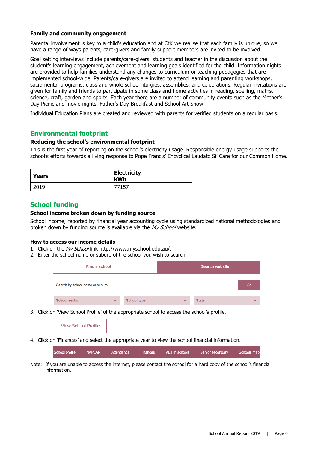#### **Family and community engagement**

Parental involvement is key to a child's education and at CtK we realise that each family is unique, so we have a range of ways parents, care-givers and family support members are invited to be involved.

Goal setting interviews include parents/care-givers, students and teacher in the discussion about the student's learning engagement, achievement and learning goals identified for the child. Information nights are provided to help families understand any changes to curriculum or teaching pedagogies that are implemented school-wide. Parents/care-givers are invited to attend learning and parenting workshops, sacramental programs, class and whole school liturgies, assemblies, and celebrations. Regular invitations are given for family and friends to participate in some class and home activities in reading, spelling, maths, science, craft, garden and sports. Each year there are a number of community events such as the Mother's Day Picnic and movie nights, Father's Day Breakfast and School Art Show.

Individual Education Plans are created and reviewed with parents for verified students on a regular basis.

#### **Environmental footprint**

#### **Reducing the school's environmental footprint**

This is the first year of reporting on the school's electricity usage. Responsible energy usage supports the school's efforts towards a living response to Pope Francis' Encyclical Laudato Si' Care for our Common Home.

| Years | <b>Electricity</b><br>kWh |
|-------|---------------------------|
| 2019  | 77157                     |

#### **School funding**

#### **School income broken down by funding source**

School income, reported by financial year accounting cycle using standardized national methodologies and broken down by funding source is available via the [My School](http://www.myschool.edu.au/) website.

#### **How to access our income details**

- 1. Click on the My School link <http://www.myschool.edu.au/>.
- 2. Enter the school name or suburb of the school you wish to search.

| Find a school                   |              |                    |              | <b>Search website</b> |              |
|---------------------------------|--------------|--------------------|--------------|-----------------------|--------------|
| Search by school name or suburb |              |                    |              |                       | Go           |
| <b>School sector</b>            | $\checkmark$ | <b>School type</b> | $\checkmark$ | <b>State</b>          | $\checkmark$ |

3. Click on 'View School Profile' of the appropriate school to access the school's profile.

**View School Profile** 

4. Click on 'Finances' and select the appropriate year to view the school financial information.

| School profile | NAPLAN | Attendance | Finances | VET in schools | Senior secondary | Schools map |
|----------------|--------|------------|----------|----------------|------------------|-------------|
|                |        |            |          |                |                  |             |

Note: If you are unable to access the internet, please contact the school for a hard copy of the school's financial information.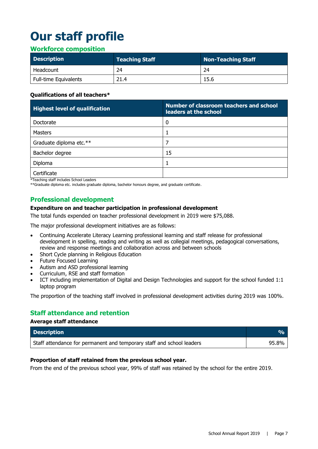# **Our staff profile**

### **Workforce composition**

| <b>Description</b>    | Teaching Staff $^\shortparallel$ | Non-Teaching Staff |
|-----------------------|----------------------------------|--------------------|
| Headcount             | 24                               | 24                 |
| Full-time Equivalents | 21.4                             | 15.6               |

#### **Qualifications of all teachers\***

| <b>Highest level of qualification</b> | Number of classroom teachers and school<br>leaders at the school |
|---------------------------------------|------------------------------------------------------------------|
| Doctorate                             |                                                                  |
| <b>Masters</b>                        |                                                                  |
| Graduate diploma etc.**               |                                                                  |
| Bachelor degree                       | 15                                                               |
| Diploma                               |                                                                  |
| Certificate<br>.                      |                                                                  |

\*Teaching staff includes School Leaders

\*\*Graduate diploma etc. includes graduate diploma, bachelor honours degree, and graduate certificate.

# **Professional development**

#### **Expenditure on and teacher participation in professional development**

The total funds expended on teacher professional development in 2019 were \$75,088.

The major professional development initiatives are as follows:

- Continuing Accelerate Literacy Learning professional learning and staff release for professional development in spelling, reading and writing as well as collegial meetings, pedagogical conversations, review and response meetings and collaboration across and between schools
- Short Cycle planning in Religious Education
- Future Focused Learning
- Autism and ASD professional learning
- Curriculum, RSE and staff formation
- ICT including implementation of Digital and Design Technologies and support for the school funded 1:1 laptop program

The proportion of the teaching staff involved in professional development activities during 2019 was 100%.

# **Staff attendance and retention**

#### **Average staff attendance**

| <b>Description</b>                                                    | Vol.  |
|-----------------------------------------------------------------------|-------|
| Staff attendance for permanent and temporary staff and school leaders | 95.8% |

#### **Proportion of staff retained from the previous school year.**

From the end of the previous school year, 99% of staff was retained by the school for the entire 2019.